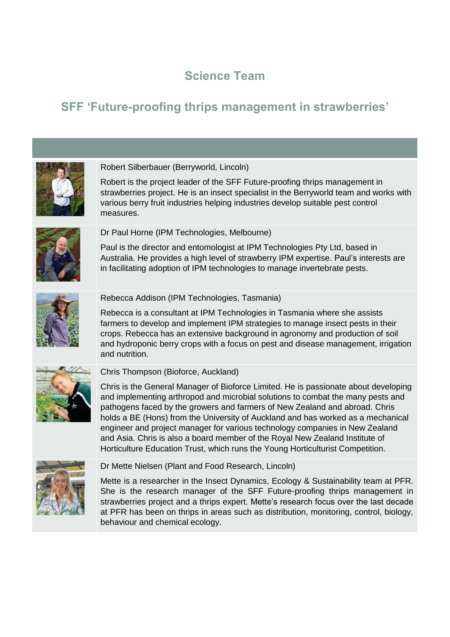# **Science Team**

# **SFF 'Future-proofing thrips management in strawberries'**



### Robert Silberbauer (Berryworld, Lincoln)

Robert is the project leader of the SFF Future-proofing thrips management in strawberries project. He is an insect specialist in the Berryworld team and works with various berry fruit industries helping industries develop suitable pest control measures.



Dr Paul Horne (IPM Technologies, Melbourne)

Paul is the director and entomologist at IPM Technologies Pty Ltd, based in Australia. He provides a high level of strawberry IPM expertise. Paul's interests are in facilitating adoption of IPM technologies to manage invertebrate pests.



#### Rebecca Addison (IPM Technologies, Tasmania)

Rebecca is a consultant at IPM Technologies in Tasmania where she assists farmers to develop and implement IPM strategies to manage insect pests in their crops. Rebecca has an extensive background in agronomy and production of soil and hydroponic berry crops with a focus on pest and disease management, irrigation and nutrition.



#### Chris Thompson (Bioforce, Auckland)

Chris is the General Manager of Bioforce Limited. He is passionate about developing and implementing arthropod and microbial solutions to combat the many pests and pathogens faced by the growers and farmers of New Zealand and abroad. Chris holds a BE (Hons) from the University of Auckland and has worked as a mechanical engineer and project manager for various technology companies in New Zealand and Asia. Chris is also a board member of the Royal New Zealand Institute of Horticulture Education Trust, which runs the Young Horticulturist Competition.



Dr Mette Nielsen (Plant and Food Research, Lincoln)

Mette is a researcher in the Insect Dynamics, Ecology & Sustainability team at PFR. She is the research manager of the SFF Future-proofing thrips management in strawberries project and a thrips expert. Mette's research focus over the last decade at PFR has been on thrips in areas such as distribution, monitoring, control, biology, behaviour and chemical ecology.